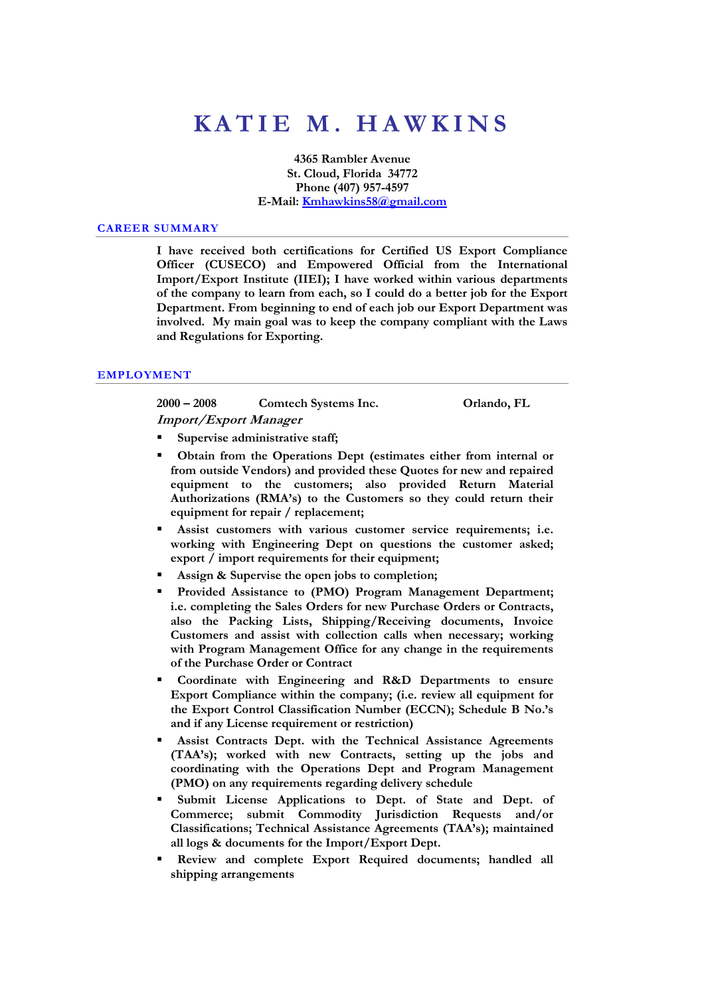# **K A T I E M . H A W K I N S**

**4365 Rambler Avenue St. Cloud, Florida 34772 Phone (407) 957-4597 E-Mail: Kmhawkins58@gmail.com**

#### **CAREER SUMMARY**

**I have received both certifications for Certified US Export Compliance Officer (CUSECO) and Empowered Official from the International Import/Export Institute (IIEI); I have worked within various departments of the company to learn from each, so I could do a better job for the Export Department. From beginning to end of each job our Export Department was involved. My main goal was to keep the company compliant with the Laws and Regulations for Exporting.** 

#### **EMPLOYMENT**

**2000 – 2008 Comtech Systems Inc. Orlando, FL Import/Export Manager** 

**Supervise administrative staff;** 

- **Obtain from the Operations Dept (estimates either from internal or from outside Vendors) and provided these Quotes for new and repaired equipment to the customers; also provided Return Material Authorizations (RMA's) to the Customers so they could return their equipment for repair / replacement;**
- **Assist customers with various customer service requirements; i.e. working with Engineering Dept on questions the customer asked; export / import requirements for their equipment;**
- **Assign & Supervise the open jobs to completion;**
- **Provided Assistance to (PMO) Program Management Department; i.e. completing the Sales Orders for new Purchase Orders or Contracts, also the Packing Lists, Shipping/Receiving documents, Invoice Customers and assist with collection calls when necessary; working with Program Management Office for any change in the requirements of the Purchase Order or Contract**
- **Coordinate with Engineering and R&D Departments to ensure Export Compliance within the company; (i.e. review all equipment for the Export Control Classification Number (ECCN); Schedule B No.'s and if any License requirement or restriction)**
- **Assist Contracts Dept. with the Technical Assistance Agreements (TAA's); worked with new Contracts, setting up the jobs and coordinating with the Operations Dept and Program Management (PMO) on any requirements regarding delivery schedule**
- **Submit License Applications to Dept. of State and Dept. of Commerce; submit Commodity Jurisdiction Requests and/or Classifications; Technical Assistance Agreements (TAA's); maintained all logs & documents for the Import/Export Dept.**
- **Review and complete Export Required documents; handled all shipping arrangements**